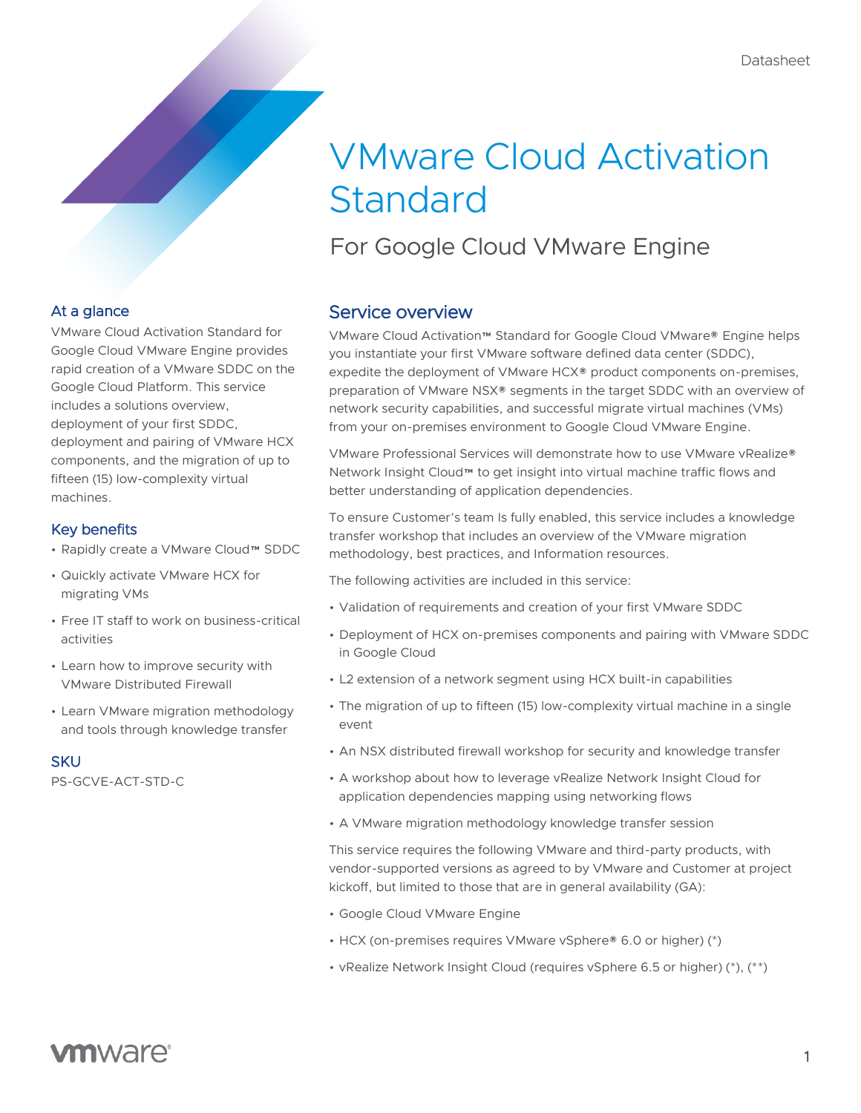# VMware Cloud Activation Standard

For Google Cloud VMware Engine

### At a glance

VMware Cloud Activation Standard for Google Cloud VMware Engine provides rapid creation of a VMware SDDC on the Google Cloud Platform. This service includes a solutions overview, deployment of your first SDDC, deployment and pairing of VMware HCX components, and the migration of up to fifteen (15) low-complexity virtual machines.

#### Key benefits

- Rapidly create a VMware Cloud™ SDDC
- Quickly activate VMware HCX for migrating VMs
- Free IT staff to work on business-critical activities
- Learn how to improve security with VMware Distributed Firewall
- Learn VMware migration methodology and tools through knowledge transfer

#### **SKU**

PS-GCVE-ACT-STD-C

## Service overview

VMware Cloud Activation™ Standard for Google Cloud VMware® Engine helps you instantiate your first VMware software defined data center (SDDC), expedite the deployment of VMware HCX® product components on-premises, preparation of VMware NSX® segments in the target SDDC with an overview of network security capabilities, and successful migrate virtual machines (VMs) from your on-premises environment to Google Cloud VMware Engine.

VMware Professional Services will demonstrate how to use VMware vRealize® Network Insight Cloud™ to get insight into virtual machine traffic flows and better understanding of application dependencies.

To ensure Customer's team Is fully enabled, this service includes a knowledge transfer workshop that includes an overview of the VMware migration methodology, best practices, and Information resources.

The following activities are included in this service:

- Validation of requirements and creation of your first VMware SDDC
- Deployment of HCX on-premises components and pairing with VMware SDDC in Google Cloud
- L2 extension of a network segment using HCX built-in capabilities
- The migration of up to fifteen (15) low-complexity virtual machine in a single event
- An NSX distributed firewall workshop for security and knowledge transfer
- A workshop about how to leverage vRealize Network Insight Cloud for application dependencies mapping using networking flows
- A VMware migration methodology knowledge transfer session

This service requires the following VMware and third-party products, with vendor-supported versions as agreed to by VMware and Customer at project kickoff, but limited to those that are in general availability (GA):

- Google Cloud VMware Engine
- HCX (on-premises requires VMware vSphere® 6.0 or higher) (\*)
- vRealize Network Insight Cloud (requires vSphere 6.5 or higher) (\*), (\*\*)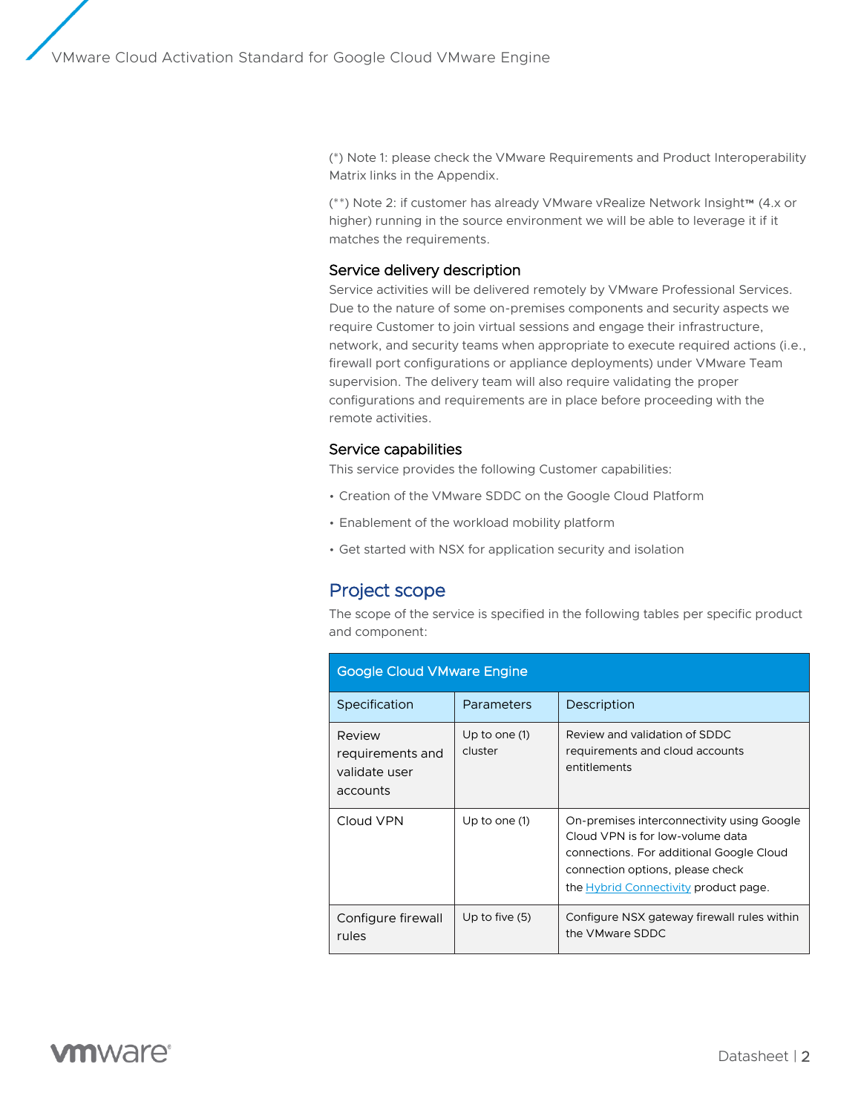(\*) Note 1: please check the VMware Requirements and Product Interoperability Matrix links in the Appendix.

(\*\*) Note 2: if customer has already VMware vRealize Network Insight™ (4.x or higher) running in the source environment we will be able to leverage it if it matches the requirements.

#### Service delivery description

Service activities will be delivered remotely by VMware Professional Services. Due to the nature of some on-premises components and security aspects we require Customer to join virtual sessions and engage their infrastructure, network, and security teams when appropriate to execute required actions (i.e., firewall port configurations or appliance deployments) under VMware Team supervision. The delivery team will also require validating the proper configurations and requirements are in place before proceeding with the remote activities.

#### Service capabilities

This service provides the following Customer capabilities:

- Creation of the VMware SDDC on the Google Cloud Platform
- Enablement of the workload mobility platform
- Get started with NSX for application security and isolation

### Project scope

The scope of the service is specified in the following tables per specific product and component:

| <b>Google Cloud VMware Engine</b>                       |                            |                                                                                                                                                                                                         |  |
|---------------------------------------------------------|----------------------------|---------------------------------------------------------------------------------------------------------------------------------------------------------------------------------------------------------|--|
| Specification                                           | Parameters                 | Description                                                                                                                                                                                             |  |
| Review<br>requirements and<br>validate user<br>accounts | Up to one $(1)$<br>cluster | Review and validation of SDDC<br>requirements and cloud accounts<br>entitlements                                                                                                                        |  |
| Cloud VPN                                               | Up to one (1)              | On-premises interconnectivity using Google<br>Cloud VPN is for low-volume data<br>connections. For additional Google Cloud<br>connection options, please check<br>the Hybrid Connectivity product page. |  |
| Configure firewall<br>rules                             | Up to five $(5)$           | Configure NSX gateway firewall rules within<br>the VMware SDDC                                                                                                                                          |  |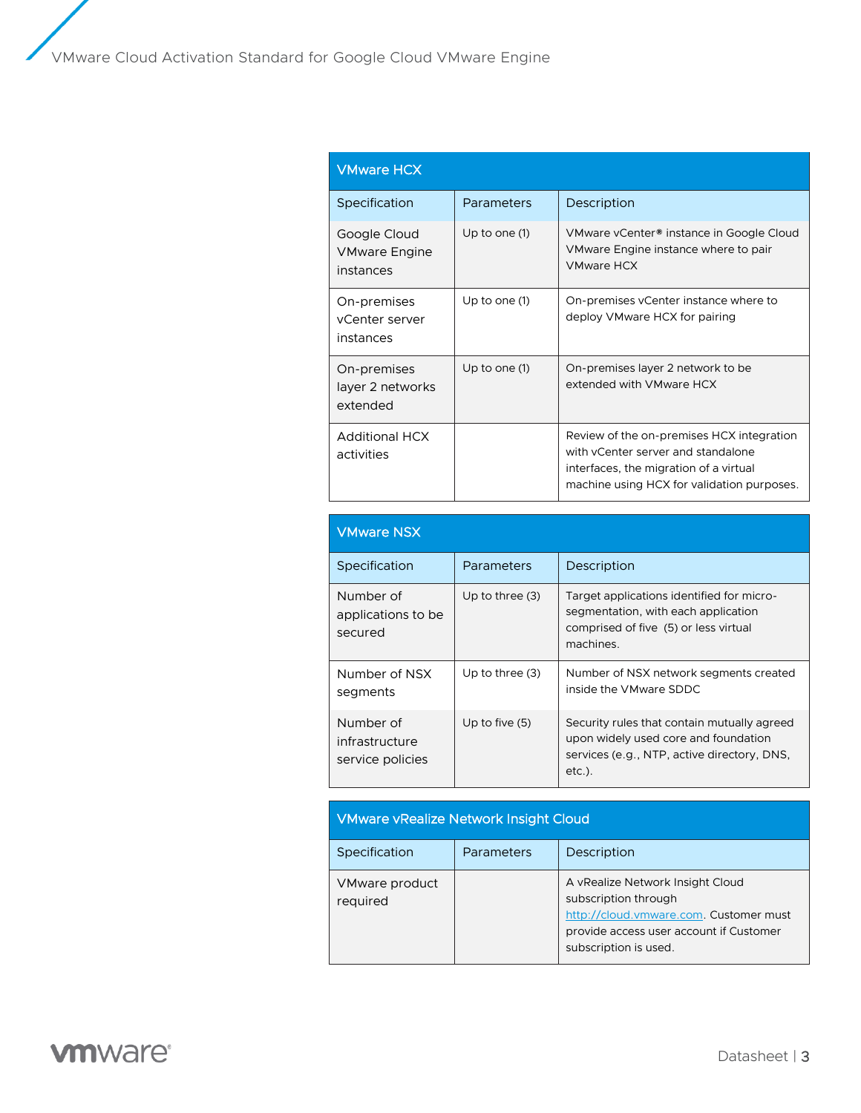| <b>VMware HCX</b>                                 |                 |                                                                                                                                                                         |
|---------------------------------------------------|-----------------|-------------------------------------------------------------------------------------------------------------------------------------------------------------------------|
| Specification                                     | Parameters      | Description                                                                                                                                                             |
| Google Cloud<br><b>VMware Engine</b><br>instances | Up to one $(1)$ | VMware vCenter <sup>®</sup> instance in Google Cloud<br>VMware Engine instance where to pair<br><b>VMware HCX</b>                                                       |
| On-premises<br>vCenter server<br>instances        | Up to one (1)   | On-premises vCenter instance where to<br>deploy VMware HCX for pairing                                                                                                  |
| On-premises<br>layer 2 networks<br>extended       | Up to one $(1)$ | On-premises layer 2 network to be<br>extended with VMware HCX                                                                                                           |
| <b>Additional HCX</b><br>activities               |                 | Review of the on-premises HCX integration<br>with yCenter server and standalone<br>interfaces, the migration of a virtual<br>machine using HCX for validation purposes. |

| <b>VMware NSX</b>                               |                   |                                                                                                                                                 |
|-------------------------------------------------|-------------------|-------------------------------------------------------------------------------------------------------------------------------------------------|
| Specification                                   | Parameters        | Description                                                                                                                                     |
| Number of<br>applications to be<br>secured      | Up to three $(3)$ | Target applications identified for micro-<br>segmentation, with each application<br>comprised of five (5) or less virtual<br>machines.          |
| Number of NSX<br>segments                       | Up to three $(3)$ | Number of NSX network segments created<br>inside the VMware SDDC                                                                                |
| Number of<br>infrastructure<br>service policies | Up to five $(5)$  | Security rules that contain mutually agreed<br>upon widely used core and foundation<br>services (e.g., NTP, active directory, DNS,<br>$etc.$ ). |

# VMware vRealize Network Insight Cloud

| Specification              | Parameters | Description                                                                                                                                                            |
|----------------------------|------------|------------------------------------------------------------------------------------------------------------------------------------------------------------------------|
| VMware product<br>required |            | A vRealize Network Insight Cloud<br>subscription through<br>http://cloud.vmware.com. Customer must<br>provide access user account if Customer<br>subscription is used. |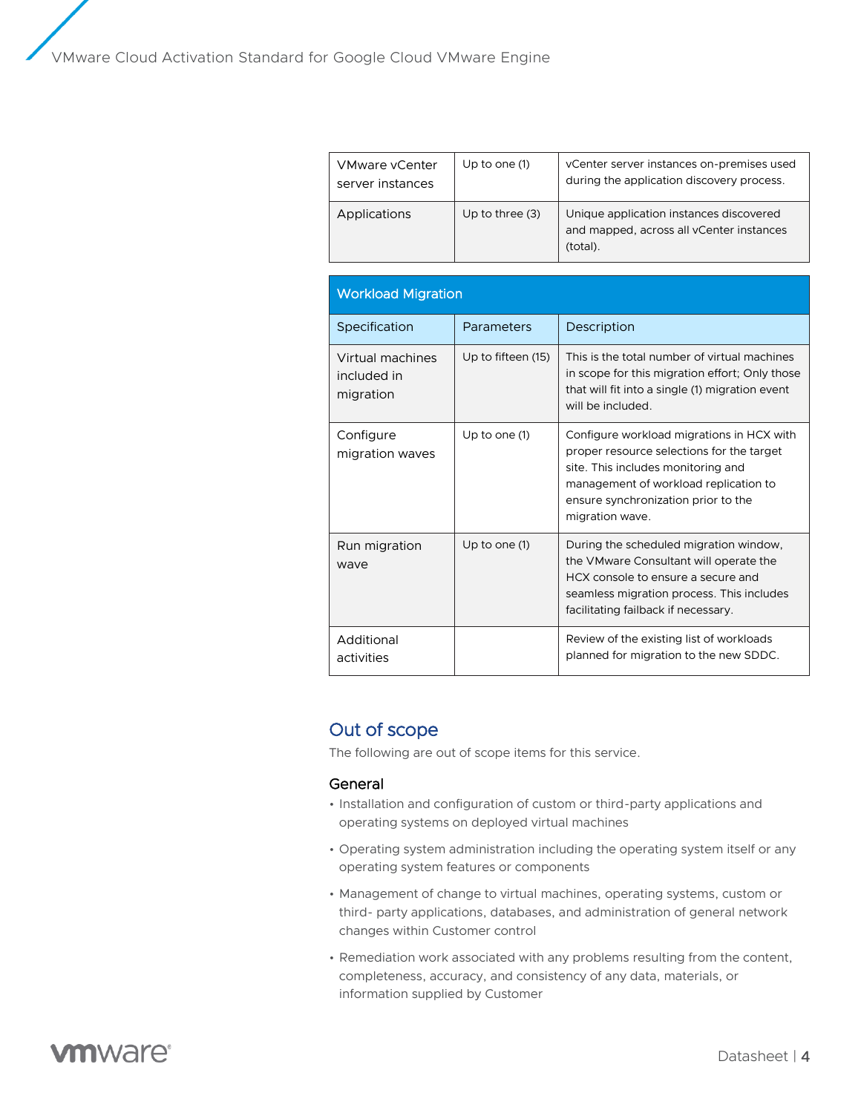| <b>VMware vCenter</b><br>server instances | Up to one $(1)$   | vCenter server instances on-premises used<br>during the application discovery process.          |
|-------------------------------------------|-------------------|-------------------------------------------------------------------------------------------------|
| Applications                              | Up to three $(3)$ | Unique application instances discovered<br>and mapped, across all vCenter instances<br>(total). |

| <b>Workload Migration</b>                    |                    |                                                                                                                                                                                                                                 |
|----------------------------------------------|--------------------|---------------------------------------------------------------------------------------------------------------------------------------------------------------------------------------------------------------------------------|
| Specification                                | Parameters         | Description                                                                                                                                                                                                                     |
| Virtual machines<br>included in<br>migration | Up to fifteen (15) | This is the total number of virtual machines<br>in scope for this migration effort; Only those<br>that will fit into a single (1) migration event<br>will be included.                                                          |
| Configure<br>migration waves                 | Up to one (1)      | Configure workload migrations in HCX with<br>proper resource selections for the target<br>site. This includes monitoring and<br>management of workload replication to<br>ensure synchronization prior to the<br>migration wave. |
| Run migration<br>wave                        | Up to one (1)      | During the scheduled migration window,<br>the VMware Consultant will operate the<br>HCX console to ensure a secure and<br>seamless migration process. This includes<br>facilitating failback if necessary.                      |
| Additional<br>activities                     |                    | Review of the existing list of workloads<br>planned for migration to the new SDDC.                                                                                                                                              |

# Out of scope

The following are out of scope items for this service.

#### General

- Installation and configuration of custom or third-party applications and operating systems on deployed virtual machines
- Operating system administration including the operating system itself or any operating system features or components
- Management of change to virtual machines, operating systems, custom or third- party applications, databases, and administration of general network changes within Customer control
- Remediation work associated with any problems resulting from the content, completeness, accuracy, and consistency of any data, materials, or information supplied by Customer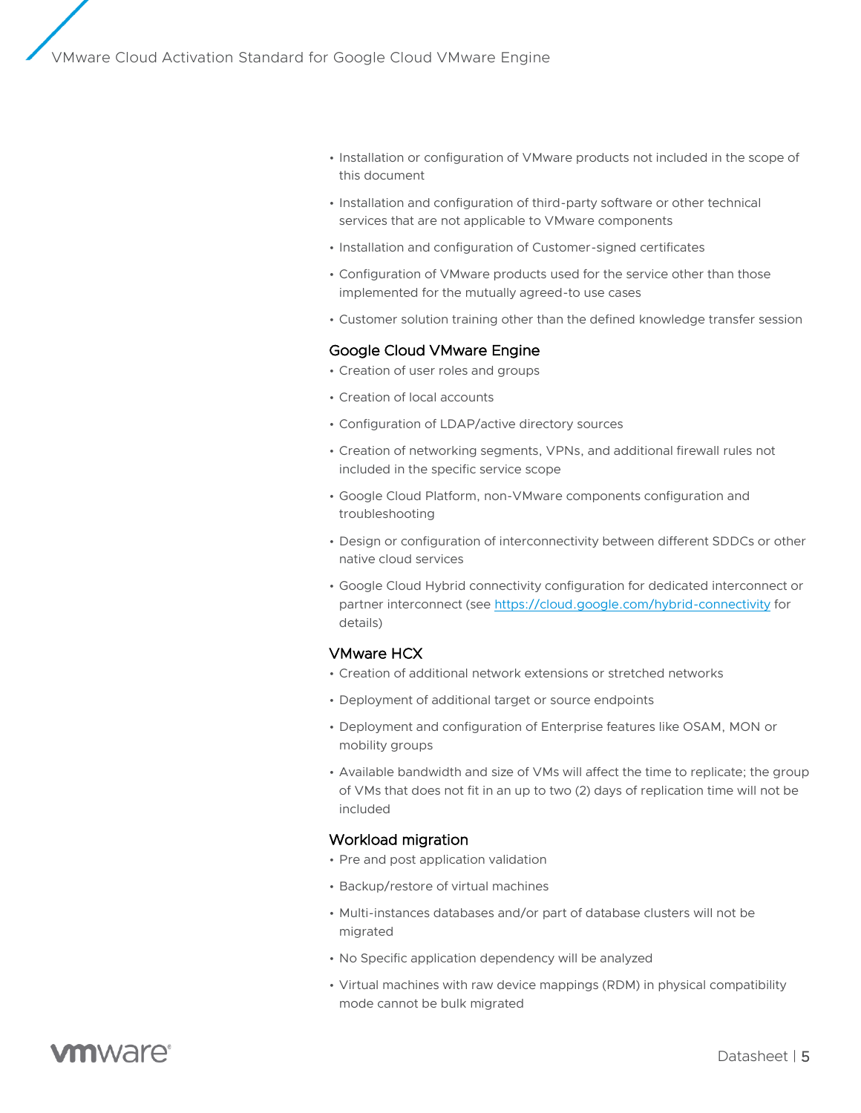- Installation or configuration of VMware products not included in the scope of this document
- Installation and configuration of third-party software or other technical services that are not applicable to VMware components
- Installation and configuration of Customer-signed certificates
- Configuration of VMware products used for the service other than those implemented for the mutually agreed-to use cases
- Customer solution training other than the defined knowledge transfer session

#### Google Cloud VMware Engine

- Creation of user roles and groups
- Creation of local accounts
- Configuration of LDAP/active directory sources
- Creation of networking segments, VPNs, and additional firewall rules not included in the specific service scope
- Google Cloud Platform, non-VMware components configuration and troubleshooting
- Design or configuration of interconnectivity between different SDDCs or other native cloud services
- Google Cloud Hybrid connectivity configuration for dedicated interconnect or partner interconnect (se[e https://cloud.google.com/hybrid-connectivity](https://cloud.google.com/hybrid-connectivity) for details)

#### VMware HCX

- Creation of additional network extensions or stretched networks
- Deployment of additional target or source endpoints
- Deployment and configuration of Enterprise features like OSAM, MON or mobility groups
- Available bandwidth and size of VMs will affect the time to replicate; the group of VMs that does not fit in an up to two (2) days of replication time will not be included

#### Workload migration

- Pre and post application validation
- Backup/restore of virtual machines
- Multi-instances databases and/or part of database clusters will not be migrated
- No Specific application dependency will be analyzed
- Virtual machines with raw device mappings (RDM) in physical compatibility mode cannot be bulk migrated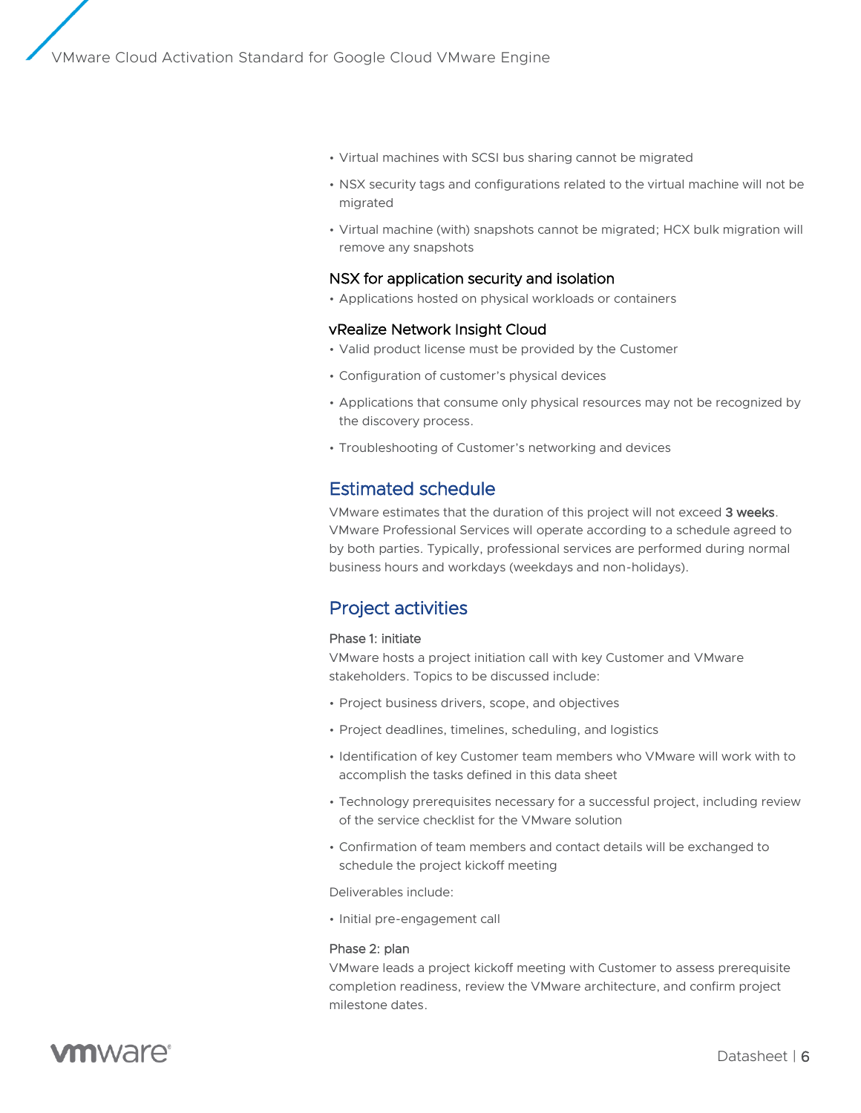- Virtual machines with SCSI bus sharing cannot be migrated
- NSX security tags and configurations related to the virtual machine will not be migrated
- Virtual machine (with) snapshots cannot be migrated; HCX bulk migration will remove any snapshots

#### NSX for application security and isolation

• Applications hosted on physical workloads or containers

#### vRealize Network Insight Cloud

- Valid product license must be provided by the Customer
- Configuration of customer's physical devices
- Applications that consume only physical resources may not be recognized by the discovery process.
- Troubleshooting of Customer's networking and devices

### Estimated schedule

VMware estimates that the duration of this project will not exceed 3 weeks. VMware Professional Services will operate according to a schedule agreed to by both parties. Typically, professional services are performed during normal business hours and workdays (weekdays and non-holidays).

### Project activities

#### Phase 1: initiate

VMware hosts a project initiation call with key Customer and VMware stakeholders. Topics to be discussed include:

- Project business drivers, scope, and objectives
- Project deadlines, timelines, scheduling, and logistics
- Identification of key Customer team members who VMware will work with to accomplish the tasks defined in this data sheet
- Technology prerequisites necessary for a successful project, including review of the service checklist for the VMware solution
- Confirmation of team members and contact details will be exchanged to schedule the project kickoff meeting

Deliverables include:

• Initial pre-engagement call

#### Phase 2: plan

VMware leads a project kickoff meeting with Customer to assess prerequisite completion readiness, review the VMware architecture, and confirm project milestone dates.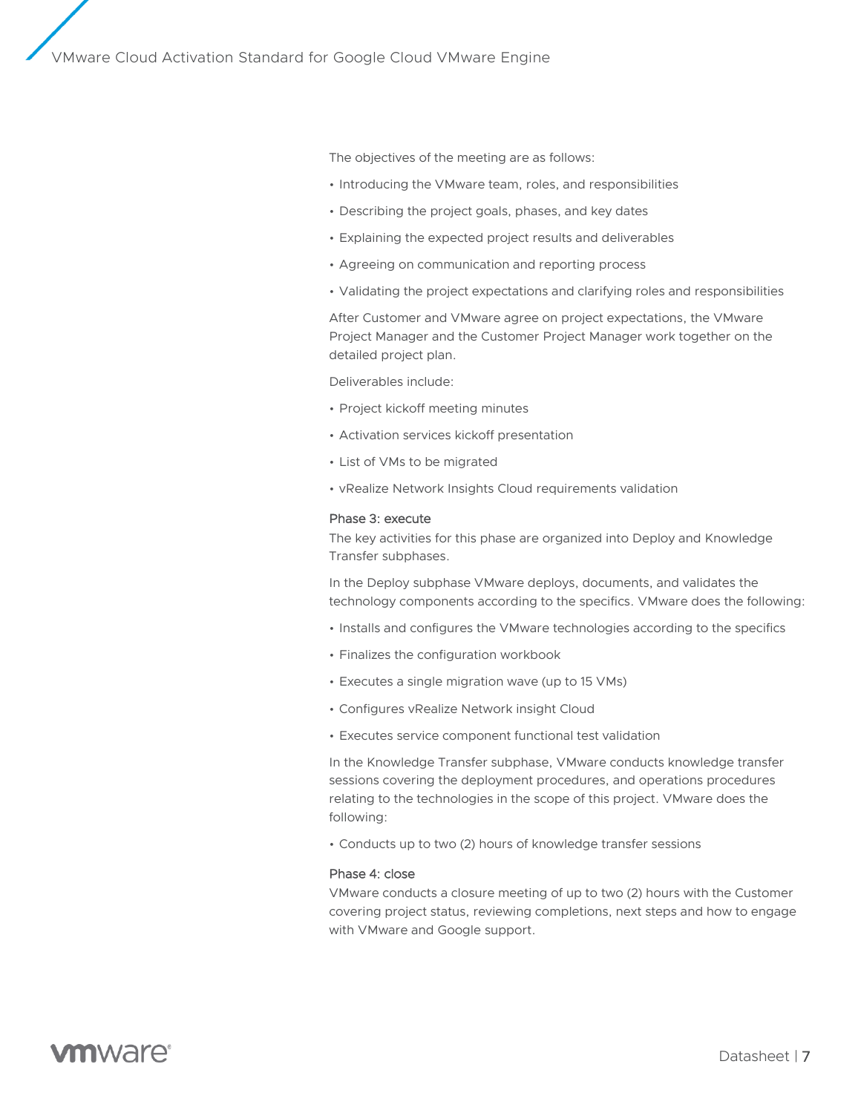The objectives of the meeting are as follows:

- Introducing the VMware team, roles, and responsibilities
- Describing the project goals, phases, and key dates
- Explaining the expected project results and deliverables
- Agreeing on communication and reporting process
- Validating the project expectations and clarifying roles and responsibilities

After Customer and VMware agree on project expectations, the VMware Project Manager and the Customer Project Manager work together on the detailed project plan.

Deliverables include:

- Project kickoff meeting minutes
- Activation services kickoff presentation
- List of VMs to be migrated
- vRealize Network Insights Cloud requirements validation

#### Phase 3: execute

The key activities for this phase are organized into Deploy and Knowledge Transfer subphases.

In the Deploy subphase VMware deploys, documents, and validates the technology components according to the specifics. VMware does the following:

- Installs and configures the VMware technologies according to the specifics
- Finalizes the configuration workbook
- Executes a single migration wave (up to 15 VMs)
- Configures vRealize Network insight Cloud
- Executes service component functional test validation

In the Knowledge Transfer subphase, VMware conducts knowledge transfer sessions covering the deployment procedures, and operations procedures relating to the technologies in the scope of this project. VMware does the following:

• Conducts up to two (2) hours of knowledge transfer sessions

#### Phase 4: close

VMware conducts a closure meeting of up to two (2) hours with the Customer covering project status, reviewing completions, next steps and how to engage with VMware and Google support.